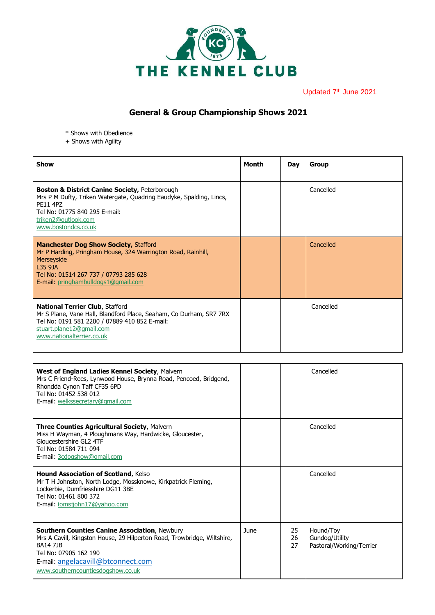

Updated 7<sup>th</sup> June 2021

## **General & Group Championship Shows 2021**

- \* Shows with Obedience
- + Shows with Agility

| Show                                                                                                                                                                                                                        | Month | Day | Group     |
|-----------------------------------------------------------------------------------------------------------------------------------------------------------------------------------------------------------------------------|-------|-----|-----------|
| <b>Boston &amp; District Canine Society, Peterborough</b><br>Mrs P M Dufty, Triken Watergate, Quadring Eaudyke, Spalding, Lincs,<br>PF11 4P7<br>Tel No: 01775 840 295 E-mail:<br>triken2@outlook.com<br>www.bostondcs.co.uk |       |     | Cancelled |
| <b>Manchester Dog Show Society, Stafford</b><br>Mr P Harding, Pringham House, 324 Warrington Road, Rainhill,<br>Merseyside<br>13591A<br>Tel No: 01514 267 737 / 07793 285 628<br>E-mail: pringhambulldogs1@gmail.com        |       |     | Cancelled |
| <b>National Terrier Club, Stafford</b><br>Mr S Plane, Vane Hall, Blandford Place, Seaham, Co Durham, SR7 7RX<br>Tel No: 0191 581 2200 / 07889 410 852 E-mail:<br>stuart.plane12@gmail.com<br>www.nationalterrier.co.uk      |       |     | Cancelled |

| <b>West of England Ladies Kennel Society, Malvern</b><br>Mrs C Friend-Rees, Lynwood House, Brynna Road, Pencoed, Bridgend,<br>Rhondda Cynon Taff CF35 6PD<br>Tel No: 01452 538 012<br>E-mail: welkssecretary@gmail.com                                 |      |                | Cancelled                                               |
|--------------------------------------------------------------------------------------------------------------------------------------------------------------------------------------------------------------------------------------------------------|------|----------------|---------------------------------------------------------|
| <b>Three Counties Agricultural Society, Malvern</b><br>Miss H Wayman, 4 Ploughmans Way, Hardwicke, Gloucester,<br>Gloucestershire GL2 4TF<br>Tel No: 01584 711 094<br>E-mail: 3cdogshow@gmail.com                                                      |      |                | Cancelled                                               |
| <b>Hound Association of Scotland, Kelso</b><br>Mr T H Johnston, North Lodge, Mossknowe, Kirkpatrick Fleming,<br>Lockerbie, Dumfriesshire DG11 3BE<br>Tel No: 01461 800 372<br>E-mail: tomstjohn17@yahoo.com                                            |      |                | Cancelled                                               |
| <b>Southern Counties Canine Association, Newbury</b><br>Mrs A Cavill, Kingston House, 29 Hilperton Road, Trowbridge, Wiltshire,<br><b>BA14 71B</b><br>Tel No: 07905 162 190<br>E-mail: angelacavill@btconnect.com<br>www.southerncountiesdogshow.co.uk | June | 25<br>26<br>27 | Hound/Toy<br>Gundog/Utility<br>Pastoral/Working/Terrier |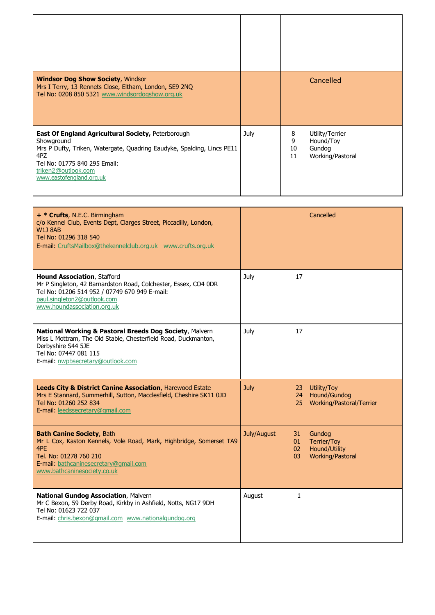| <b>Windsor Dog Show Society, Windsor</b><br>Mrs I Terry, 13 Rennets Close, Eltham, London, SE9 2NQ<br>Tel No: 0208 850 5321 www.windsordogshow.org.uk                                                                                       |      |                    | Cancelled                                                  |
|---------------------------------------------------------------------------------------------------------------------------------------------------------------------------------------------------------------------------------------------|------|--------------------|------------------------------------------------------------|
| <b>East Of England Agricultural Society, Peterborough</b><br>Showground<br>Mrs P Dufty, Triken, Watergate, Quadring Eaudyke, Spalding, Lincs PE11<br>4PZ<br>Tel No: 01775 840 295 Email:<br>triken2@outlook.com<br>www.eastofengland.org.uk | July | 8<br>9<br>10<br>11 | Utility/Terrier<br>Hound/Toy<br>Gundog<br>Working/Pastoral |

| + * Crufts, N.E.C. Birmingham<br>c/o Kennel Club, Events Dept, Clarges Street, Piccadilly, London,<br><b>W1J 8AB</b><br>Tel No: 01296 318 540<br>E-mail: CruftsMailbox@thekennelclub.org.uk www.crufts.org.uk        |             |                      | Cancelled                                                         |
|----------------------------------------------------------------------------------------------------------------------------------------------------------------------------------------------------------------------|-------------|----------------------|-------------------------------------------------------------------|
| <b>Hound Association, Stafford</b><br>Mr P Singleton, 42 Barnardston Road, Colchester, Essex, CO4 0DR<br>Tel No: 01206 514 952 / 07749 670 949 E-mail:<br>paul.singleton2@outlook.com<br>www.houndassociation.org.uk | July        | 17                   |                                                                   |
| National Working & Pastoral Breeds Dog Society, Malvern<br>Miss L Mottram, The Old Stable, Chesterfield Road, Duckmanton,<br>Derbyshire S44 5JE<br>Tel No: 07447 081 115<br>E-mail: nwpbsecretary@outlook.com        | July        | 17                   |                                                                   |
| <b>Leeds City &amp; District Canine Association, Harewood Estate</b><br>Mrs E Stannard, Summerhill, Sutton, Macclesfield, Cheshire SK11 0JD<br>Tel No: 01260 252 834<br>E-mail: leedssecretary@gmail.com             | <b>July</b> | 23<br>24<br>25       | Utility/Toy<br>Hound/Gundog<br>Working/Pastoral/Terrier           |
| <b>Bath Canine Society, Bath</b><br>Mr L Cox, Kaston Kennels, Vole Road, Mark, Highbridge, Somerset TA9<br>4PF<br>Tel. No: 01278 760 210<br>E-mail: bathcaninesecretary@gmail.com<br>www.bathcaninesociety.co.uk     | July/August | 31<br>01<br>02<br>03 | Gundog<br>Terrier/Toy<br>Hound/Utility<br><b>Working/Pastoral</b> |
| National Gundog Association, Malvern<br>Mr C Bexon, 59 Derby Road, Kirkby in Ashfield, Notts, NG17 9DH<br>Tel No: 01623 722 037<br>E-mail: chris.bexon@gmail.com www.nationalgundog.org                              | August      | $\mathbf{1}$         |                                                                   |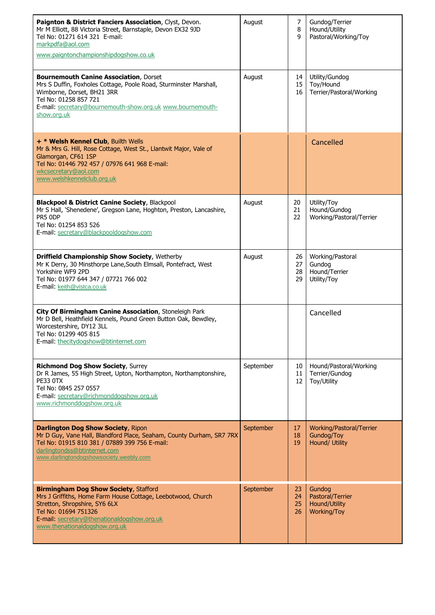| Paignton & District Fanciers Association, Clyst, Devon.<br>Mr M Elliott, 88 Victoria Street, Barnstaple, Devon EX32 9JD<br>Tel No: 01271 614 321 E-mail:<br>markpdfa@aol.com<br>www.paigntonchampionshipdogshow.co.uk                                  | August    | 7<br>8<br>9          | Gundog/Terrier<br>Hound/Utility<br>Pastoral/Working/Toy    |
|--------------------------------------------------------------------------------------------------------------------------------------------------------------------------------------------------------------------------------------------------------|-----------|----------------------|------------------------------------------------------------|
| <b>Bournemouth Canine Association, Dorset</b><br>Mrs S Duffin, Foxholes Cottage, Poole Road, Sturminster Marshall,<br>Wimborne, Dorset, BH21 3RR<br>Tel No: 01258 857 721<br>E-mail: secretary@bournemouth-show.org.uk www.bournemouth-<br>show.org.uk | August    | 14<br>15<br>16       | Utility/Gundog<br>Toy/Hound<br>Terrier/Pastoral/Working    |
| + * Welsh Kennel Club, Builth Wells<br>Mr & Mrs G. Hill, Rose Cottage, West St., Llantwit Major, Vale of<br>Glamorgan, CF61 1SP<br>Tel No: 01446 792 457 / 07976 641 968 E-mail:<br>wkcsecretary@aol.com<br>www.welshkennelclub.org.uk                 |           |                      | Cancelled                                                  |
| <b>Blackpool &amp; District Canine Society, Blackpool</b><br>Mr S Hall, 'Shenedene', Gregson Lane, Hoghton, Preston, Lancashire,<br>PR5 ODP<br>Tel No: 01254 853 526<br>E-mail: secretary@blackpooldogshow.com                                         | August    | 20<br>21<br>22       | Utility/Toy<br>Hound/Gundog<br>Working/Pastoral/Terrier    |
| Driffield Championship Show Society, Wetherby<br>Mr K Derry, 30 Minsthorpe Lane, South Elmsall, Pontefract, West<br>Yorkshire WF9 2PD<br>Tel No: 01977 644 347 / 07721 766 002<br>E-mail: keith@vistca.co.uk                                           | August    | 26<br>27<br>28<br>29 | Working/Pastoral<br>Gundog<br>Hound/Terrier<br>Utility/Toy |
| City Of Birmingham Canine Association, Stoneleigh Park<br>Mr D Bell, Heathfield Kennels, Pound Green Button Oak, Bewdley,<br>Worcestershire, DY12 3LL<br>Tel No: 01299 405 815<br>E-mail: thecitydogshow@btinternet.com                                |           |                      | Cancelled                                                  |
| <b>Richmond Dog Show Society, Surrey</b><br>Dr R James, 55 High Street, Upton, Northampton, Northamptonshire,<br>PE33 OTX<br>Tel No: 0845 257 0557<br>E-mail: secretary@richmonddogshow.org.uk<br>www.richmonddogshow.org.uk                           | September | 10<br>11<br>12       | Hound/Pastoral/Working<br>Terrier/Gundog<br>Toy/Utility    |
| <b>Darlington Dog Show Society, Ripon</b><br>Mr D Guy, Vane Hall, Blandford Place, Seaham, County Durham, SR7 7RX<br>Tel No: 01915 810 381 / 07889 399 756 E-mail:<br>darlingtondss@btinternet.com<br>www.darlingtondogshowsociety.weebly.com          | September | 17<br>18<br>19       | Working/Pastoral/Terrier<br>Gundog/Toy<br>Hound/ Utility   |
| <b>Birmingham Dog Show Society, Stafford</b><br>Mrs J Griffiths, Home Farm House Cottage, Leebotwood, Church<br>Stretton, Shropshire, SY6 6LX<br>Tel No: 01694 751326<br>E-mail: secretary@thenationaldogshow.org.uk<br>www.thenationaldogshow.org.uk  | September | 23<br>24<br>25<br>26 | Gundog<br>Pastoral/Terrier<br>Hound/Utility<br>Working/Toy |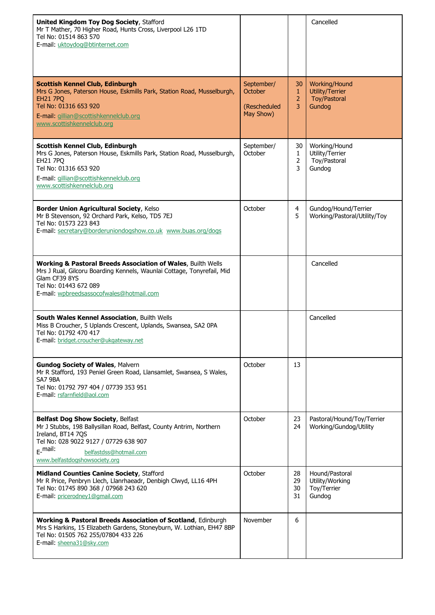| <b>United Kingdom Toy Dog Society, Stafford</b><br>Mr T Mather, 70 Higher Road, Hunts Cross, Liverpool L26 1TD<br>Tel No: 01514 863 570<br>E-mail: uktoydog@btinternet.com                                                                      |                                                    |                                           | Cancelled                                                         |
|-------------------------------------------------------------------------------------------------------------------------------------------------------------------------------------------------------------------------------------------------|----------------------------------------------------|-------------------------------------------|-------------------------------------------------------------------|
| <b>Scottish Kennel Club, Edinburgh</b><br>Mrs G Jones, Paterson House, Eskmills Park, Station Road, Musselburgh,<br><b>EH21 7PO</b><br>Tel No: 01316 653 920<br>E-mail: gillian@scottishkennelclub.org<br>www.scottishkennelclub.org            | September/<br>October<br>(Rescheduled<br>May Show) | 30<br>$\mathbf{1}$<br>$\overline{2}$<br>3 | Working/Hound<br>Utility/Terrier<br><b>Toy/Pastoral</b><br>Gundog |
| Scottish Kennel Club, Edinburgh<br>Mrs G Jones, Paterson House, Eskmills Park, Station Road, Musselburgh,<br><b>EH21 7PQ</b><br>Tel No: 01316 653 920<br>E-mail: gillian@scottishkennelclub.org<br>www.scottishkennelclub.org                   | September/<br>October                              | 30<br>1<br>$\overline{2}$<br>3            | Working/Hound<br>Utility/Terrier<br>Toy/Pastoral<br>Gundog        |
| Border Union Agricultural Society, Kelso<br>Mr B Stevenson, 92 Orchard Park, Kelso, TD5 7EJ<br>Tel No: 01573 223 843<br>E-mail: secretary@borderuniondogshow.co.uk www.buas.org/dogs                                                            | October                                            | 4<br>5                                    | Gundog/Hound/Terrier<br>Working/Pastoral/Utility/Toy              |
| <b>Working &amp; Pastoral Breeds Association of Wales, Builth Wells</b><br>Mrs J Rual, Gilcoru Boarding Kennels, Waunlai Cottage, Tonyrefail, Mid<br>Glam CF39 8YS<br>Tel No: 01443 672 089<br>E-mail: wpbreedsassocofwales@hotmail.com         |                                                    |                                           | Cancelled                                                         |
| South Wales Kennel Association, Builth Wells<br>Miss B Croucher, 5 Uplands Crescent, Uplands, Swansea, SA2 0PA<br>Tel No: 01792 470 417<br>E-mail: bridget.croucher@ukgateway.net                                                               |                                                    |                                           | Cancelled                                                         |
| <b>Gundog Society of Wales, Malvern</b><br>Mr R Stafford, 193 Peniel Green Road, Llansamlet, Swansea, S Wales,<br>SA7 9BA<br>Tel No: 01792 797 404 / 07739 353 951<br>E-mail: rsfarnfield@aol.com                                               | October                                            | 13                                        |                                                                   |
| Belfast Dog Show Society, Belfast<br>Mr J Stubbs, 198 Ballysillan Road, Belfast, County Antrim, Northern<br>Ireland, BT14 7QS<br>Tel No: 028 9022 9127 / 07729 638 907<br>$F$ -mail:<br>belfastdss@hotmail.com<br>www.belfastdogshowsociety.org | October                                            | 23<br>24                                  | Pastoral/Hound/Toy/Terrier<br>Working/Gundog/Utility              |
| <b>Midland Counties Canine Society, Stafford</b><br>Mr R Price, Penbryn Llech, Llanrhaeadr, Denbigh Clwyd, LL16 4PH<br>Tel No: 01745 890 368 / 07968 243 620<br>E-mail: pricerodney1@gmail.com                                                  | October                                            | 28<br>29<br>30<br>31                      | Hound/Pastoral<br>Utility/Working<br>Toy/Terrier<br>Gundog        |
| Working & Pastoral Breeds Association of Scotland, Edinburgh<br>Mrs S Harkins, 15 Elizabeth Gardens, Stoneyburn, W. Lothian, EH47 8BP<br>Tel No: 01505 762 255/07804 433 226<br>E-mail: sheena31@sky.com                                        | November                                           | 6                                         |                                                                   |